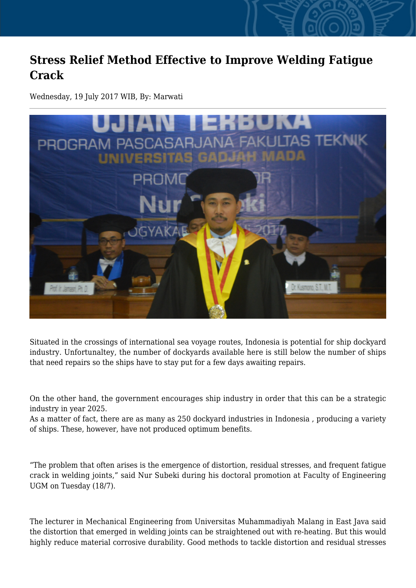## **Stress Relief Method Effective to Improve Welding Fatigue Crack**

Wednesday, 19 July 2017 WIB, By: Marwati



Situated in the crossings of international sea voyage routes, Indonesia is potential for ship dockyard industry. Unfortunaltey, the number of dockyards available here is still below the number of ships that need repairs so the ships have to stay put for a few days awaiting repairs.

On the other hand, the government encourages ship industry in order that this can be a strategic industry in year 2025.

As a matter of fact, there are as many as 250 dockyard industries in Indonesia , producing a variety of ships. These, however, have not produced optimum benefits.

"The problem that often arises is the emergence of distortion, residual stresses, and frequent fatigue crack in welding joints," said Nur Subeki during his doctoral promotion at Faculty of Engineering UGM on Tuesday (18/7).

The lecturer in Mechanical Engineering from Universitas Muhammadiyah Malang in East Java said the distortion that emerged in welding joints can be straightened out with re-heating. But this would highly reduce material corrosive durability. Good methods to tackle distortion and residual stresses